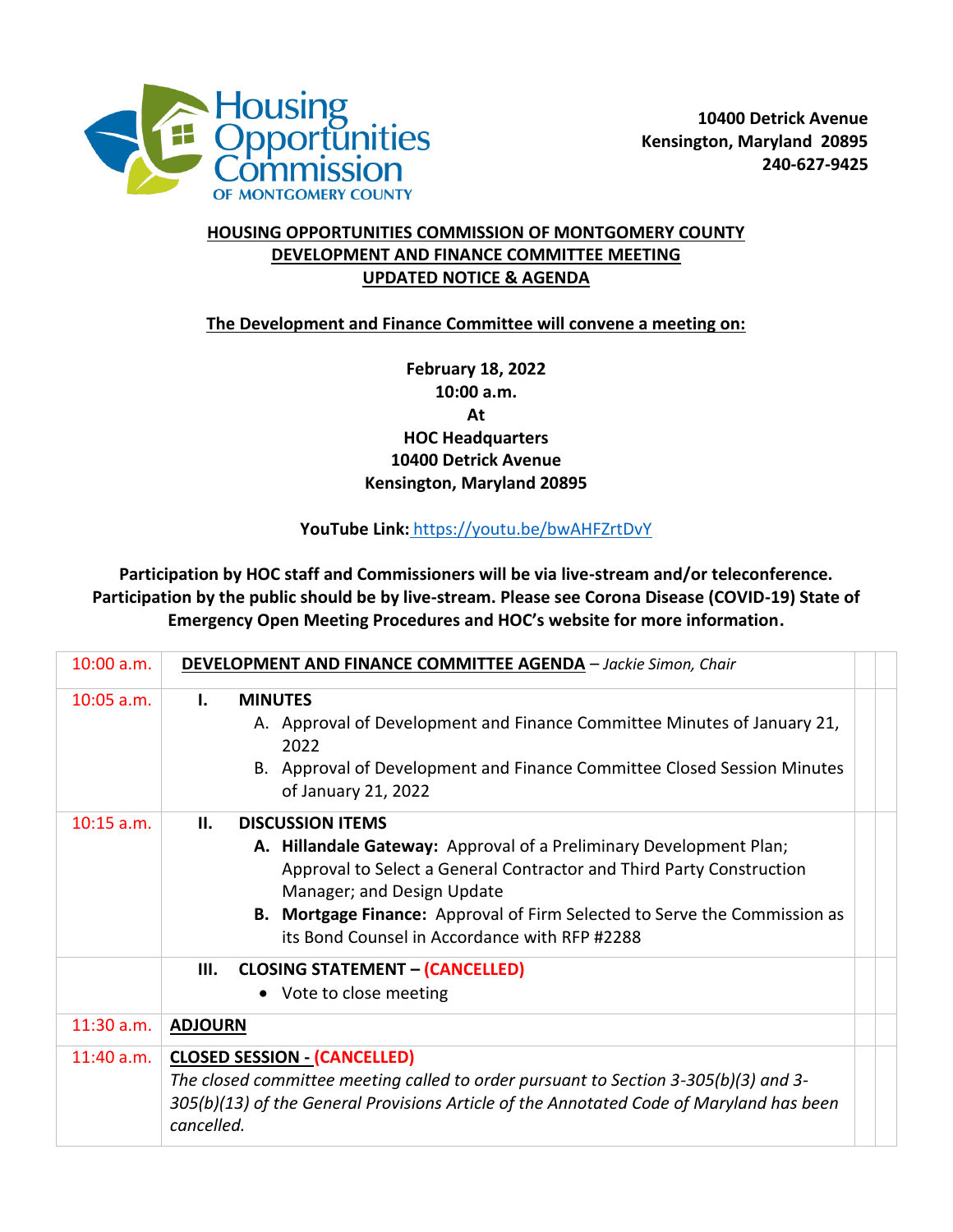

## **HOUSING OPPORTUNITIES COMMISSION OF MONTGOMERY COUNTY DEVELOPMENT AND FINANCE COMMITTEE MEETING UPDATED NOTICE & AGENDA**

**The Development and Finance Committee will convene a meeting on:**

**February 18, 2022 10:00 a.m. At HOC Headquarters 10400 Detrick Avenue Kensington, Maryland 20895**

## **YouTube Link:** <https://youtu.be/bwAHFZrtDvY>

**Participation by HOC staff and Commissioners will be via live-stream and/or teleconference. Participation by the public should be by live-stream. Please see Corona Disease (COVID-19) State of Emergency Open Meeting Procedures and HOC's website for more information.**

| 10:00 a.m.   | <b>DEVELOPMENT AND FINANCE COMMITTEE AGENDA</b> - Jackie Simon, Chair                                                                                                                                                                                                                                                                          |
|--------------|------------------------------------------------------------------------------------------------------------------------------------------------------------------------------------------------------------------------------------------------------------------------------------------------------------------------------------------------|
| $10:05$ a.m. | <b>MINUTES</b><br>Ι.<br>A. Approval of Development and Finance Committee Minutes of January 21,<br>2022<br>B. Approval of Development and Finance Committee Closed Session Minutes<br>of January 21, 2022                                                                                                                                      |
| $10:15$ a.m. | <b>DISCUSSION ITEMS</b><br>Ш.<br>A. Hillandale Gateway: Approval of a Preliminary Development Plan;<br>Approval to Select a General Contractor and Third Party Construction<br>Manager; and Design Update<br><b>B.</b> Mortgage Finance: Approval of Firm Selected to Serve the Commission as<br>its Bond Counsel in Accordance with RFP #2288 |
|              | <b>CLOSING STATEMENT - (CANCELLED)</b><br>Ш.<br>• Vote to close meeting                                                                                                                                                                                                                                                                        |
| $11:30$ a.m. | <b>ADJOURN</b>                                                                                                                                                                                                                                                                                                                                 |
| $11:40$ a.m. | <b>CLOSED SESSION - (CANCELLED)</b><br>The closed committee meeting called to order pursuant to Section 3-305(b)(3) and 3-<br>305(b)(13) of the General Provisions Article of the Annotated Code of Maryland has been<br>cancelled.                                                                                                            |